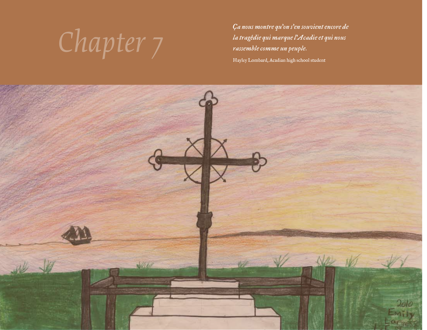Ca nous montre qu'on s'en souvient encore de<br>la tragédie qui marque l'Acadie et qui nous<br>rassemble comme un peuple. *la tragédie qui marque l'Acadie et qui nous rassemble comme un peuple.* Hayley Lombard, Acadian high school student

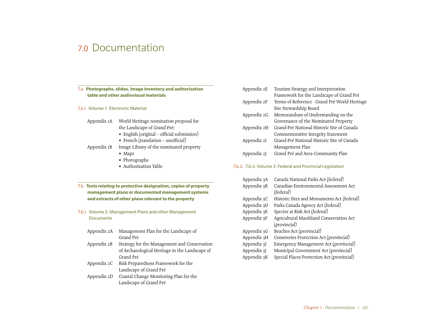# 7.0 Documentation

# 7.a. **Photographs, slides, image inventory and authorization table and other audiovisual materials**

- 7.a.i. Volume 1: Electronic Material
	- Appendix 1A World Heritage nomination proposal for the Landscape of Grand Pré:
		- English (original official submission)
		- French (translation unofficial)
	- Appendix 1B Image Library of the nominated property
		- Maps
		- Photographs
		- Authorization Table

# 7.b. **Texts relating to protective designation, copies of property management plans or documented management systems and extracts of other plans relevant to the property**

7.b.i. Volume 2: Management Plans and other Management **Documents** 

| Appendix 2A | Management Plan for the Landscape of           |
|-------------|------------------------------------------------|
|             | Grand Pré                                      |
| Appendix 2B | Strategy for the Management and Conservation   |
|             | of Archaeological Heritage in the Landscape of |
|             | Grand Pré                                      |
| Appendix 2C | Risk Preparedness Framework for the            |
|             | Landscape of Grand Pré                         |
| Appendix 2D | Coastal Change Monitoring Plan for the         |
|             | Landscape of Grand Pré                         |

| Terms of Reference Grand Pré World Heritage |
|---------------------------------------------|
|                                             |
|                                             |
|                                             |
|                                             |
|                                             |
|                                             |
|                                             |
|                                             |
|                                             |

#### 7.b.ii. 7.b.ii. Volume 3: Federal and Provincial Legislation

| Appendix 3A | Canada National Parks Act (federal)        |
|-------------|--------------------------------------------|
| Appendix 3B | Canadian Environmental Assessment Act      |
|             | (federal)                                  |
| Appendix 3C | Historic Sites and Monuments Act (federal) |
| Appendix 3D | Parks Canada Agency Act (federal)          |
| Appendix 3E | Species at Risk Act (federal)              |
| Appendix 3F | Agricultural Marshland Conservation Act    |
|             | (provincial)                               |
| Appendix 3G | Beaches Act (provincial)                   |
| Appendix 3H | Cemeteries Protection Act (provincial)     |
| Appendix 3I | Emergency Management Act (provincial)      |
| Appendix 3J | Municipal Government Act (provincial)      |
| Appendix 3K | Special Places Protection Act (provincial) |
|             |                                            |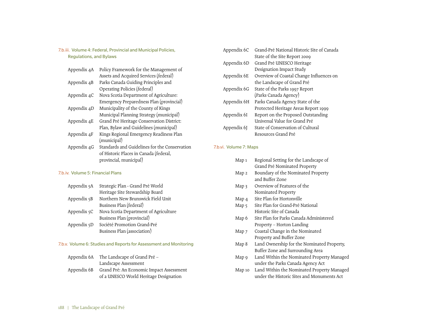7.b.iii. Volume 4: Federal, Provincial and Municipal Policies, Regulations, and Bylaws

| Appendix 4A | Policy Framework for the Management of        |
|-------------|-----------------------------------------------|
|             | Assets and Acquired Services (federal)        |
| Appendix 4B | Parks Canada Guiding Principles and           |
|             | Operating Policies (federal)                  |
| Appendix 4C | Nova Scotia Department of Agriculture:        |
|             | Emergency Preparedness Plan (provincial)      |
| Appendix 4D | Municipality of the County of Kings           |
|             | Municipal Planning Strategy (municipal)       |
| Appendix 4E | Grand Pré Heritage Conservation District:     |
|             | Plan, Bylaw and Guidelines (municipal)        |
| Appendix 4F | Kings Regional Emergency Readiness Plan       |
|             | (municipal)                                   |
| Appendix 4G | Standards and Guidelines for the Conservation |
|             | of Historic Places in Canada (federal,        |
|             | provincial, municipal)                        |

# 7.b.iv. Volume 5: Financial Plans

| Appendix 5A | Strategic Plan - Grand Pré World      |
|-------------|---------------------------------------|
|             | Heritage Site Stewardship Board       |
| Appendix 5B | Northern New Brunswick Field Unit     |
|             | Business Plan (federal)               |
| Appendix 5C | Nova Scotia Department of Agriculture |
|             | Business Plan (provincial)            |
| Appendix 5D | Société Promotion Grand-Pré           |
|             | Business Plan (association)           |
|             |                                       |

# 7.b.v. Volume 6: Studies and Reports for Assessment and Monitoring

| Appendix 6A | The Landscape of Grand Pré –                         |
|-------------|------------------------------------------------------|
|             | Landscape Assessment                                 |
|             | Appendix 6B Grand Pré: An Economic Impact Assessment |
|             | of a UNESCO World Heritage Designation               |

| Appendix 6C | Grand-Pré National Historic Site of Canada |
|-------------|--------------------------------------------|
|             | State of the Site Report 2009              |
| Appendix 6D | Grand Pré UNESCO Heritage                  |
|             | Designation Impact Study                   |
| Appendix 6E | Overview of Coastal Change Influences on   |
|             | the Landscape of Grand Pré                 |
| Appendix 6G | State of the Parks 1997 Report             |
|             | (Parks Canada Agency)                      |
| Appendix 6H | Parks Canada Agency State of the           |
|             | Protected Heritage Areas Report 1999       |
| Appendix 6I | Report on the Proposed Outstanding         |
|             | Universal Value for Grand Pré              |
| Appendix 6I | State of Conservation of Cultural          |
|             | Resources Grand Pré                        |

# 7.b.vi. Volume 7: Maps

| Map 1  | Regional Setting for the Landscape of      |
|--------|--------------------------------------------|
|        | Grand Pré Nominated Property               |
| Map 2  | Boundary of the Nominated Property         |
|        | and Buffer Zone                            |
| Map 3  | Overview of Features of the                |
|        | Nominated Property                         |
| Map 4  | Site Plan for Hortonville                  |
| Map 5  | Site Plan for Grand-Pré National           |
|        | Historic Site of Canada                    |
| Map 6  | Site Plan for Parks Canada Administered    |
|        | Property – Horton Landing                  |
| Map 7  | Coastal Change in the Nominated            |
|        | Property and Buffer Zone                   |
| Map 8  | Land Ownership for the Nominated Property, |
|        | Buffer Zone and Surrounding Area           |
| Map 9  | Land Within the Nominated Property Managed |
|        | under the Parks Canada Agency Act          |
| Map 10 | Land Within the Nominated Property Managed |
|        | under the Historic Sites and Monuments Act |
|        |                                            |
|        |                                            |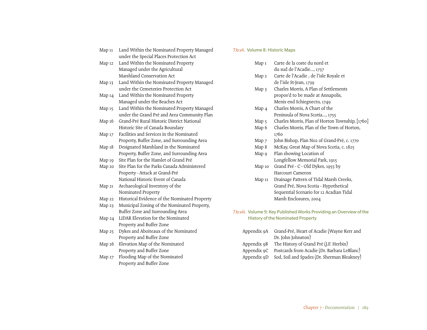# under the Special Places Protection Act Map 12 Land Within the Nominated Property Managed under the Agricultural Marshland Conservation Act Map 13 Land Within the Nominated Property Managed under the Cemeteries Protection Act Map 14 Land Within the Nominated Property

Map 11 Land Within the Nominated Property Managed

- Managed under the Beaches Act
- Map 15 Land Within the Nominated Property Managed under the Grand Pré and Area Community Plan
- Map 16 Grand-Pré Rural Historic District National Historic Site of Canada Boundary
- Map 17 Facilities and Services in the Nominated Property, Buffer Zone, and Surrounding Area
- Map 18 Designated Marshland in the Nominated Property, Buffer Zone, and Surrounding Area
- Map 19 Site Plan for the Hamlet of Grand Pré
- Map 20 Site Plan for the Parks Canada Administered Property - Attack at Grand-Pré National Historic Event of Canada
- Map 21 Archaeological Inventory of the Nominated Property
- Map 22 Historical Evidence of the Nominated Property
- Map 23 Municipal Zoning of the Nominated Property, Buffer Zone and Surrounding Area
- Map 24 LiDAR Elevation for the Nominated Property and Buffer Zone
- Map 25 Dykes and Aboiteaux of the Nominated Property and Buffer Zone
- Map 26 Elevation Map of the Nominated Property and Buffer Zone
- Map 27 Flooding Map of the Nominated Property and Buffer Zone

# 7.b.vii. Volume 8: Historic Maps

- Map 1 Carte de la coste du nord et du sud de l'Acadie..., 1737
- Map 2 Carte de l'Acadie , de l'isle Royale et de l'isle St-Jean, 1739
- Map 3 Charles Morris, A Plan of Settlements propos'd to be made at Annapolis, Menis end Schiegnecto, 1749
- Map 4 Charles Morris, A Chart of the Peninsula of Nova Scotia..., 1755
- Map 5 Charles Morris, Plan of Horton Township, [1760]
- Map 6 Charles Morris, Plan of the Town of Horton, 1760
- Map 7 John Bishop, Plan No2 of Grand-Pré, c. 1770
- Map 8 McKay, Great Map of Nova Scotia, c. 1825
- Map 9 Plan showing Location of Longfellow Memorial Park, 1915
- Map 10 Grand Pré C Old Dykes, 1955 by Harcourt Cameron
- Map 11 Drainage Pattern of Tidal Marsh Creeks, Grand Pré, Nova Scotia - Hypothetical Sequential Scenario for 12 Acadian Tidal Marsh Enclosures, 2004
- 7.b.viii. Volume 9: Key Published Works Providing an Overview of the History of the Nominated Property

| Appendix 9A | Grand-Pré, Heart of Acadie (Wayne Kerr and  |
|-------------|---------------------------------------------|
|             | Dr. John Johnston)                          |
| Appendix 9B | The History of Grand Pré (J.F. Herbin)      |
| Appendix 9C | Postcards from Acadie (Dr. Barbara LeBlanc) |
| Appendix 9D | Sod, Soil and Spades (Dr. Sherman Bleakney) |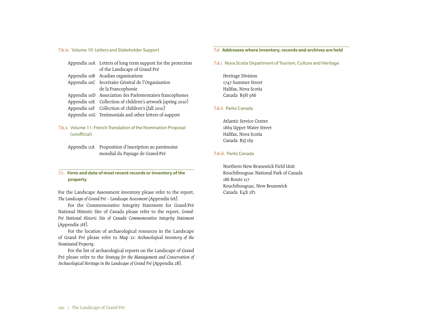7.b.ix. Volume 10: Letters and Stakeholder Support

|  | Appendix 10A Letters of long term support for the protection |
|--|--------------------------------------------------------------|
|  | of the Landscape of Grand Pré                                |
|  | Appendix 10B Acadian organizations                           |
|  | Appendix 10C Secrétaire Général de l'Organisation            |
|  | de la Francophonie                                           |
|  | Appendix 10D Association des Parlementaires francophones     |
|  | Appendix 10E Collection of children's artwork (spring 2010)  |
|  | Appendix 10F Collection of children's (fall 2010)            |
|  | Appendix 10G Testimonials and other letters of support       |

# 7.b.x. Volume 11: French Translation of the Nomination Proposal (unofficial)

Appendix 11A Proposition d'inscription au patrimoine mondial du Paysage de Grand-Pré

# 7.c. **Form and date of most recent records or inventory of the property**

For the Landscape Assessment inventory please refer to the report, *The Landscape of Grand Pré – Landscape Assessment* (Appendix 6A).

For the Commemorative Integrity Statement for Grand-Pré National Historic Site of Canada please refer to the report, *Grand-Pré National Historic Site of Canada Commemorative Integrity Statement* (Appendix 2H).

For the location of archaeological resources in the Landscape of Grand Pré please refer to Map 21: *Archaeological Inventory of the Nominated Property*.

For the list of archaeological reports on the Landscape of Grand Pré please refer to the *Strategy for the Management and Conservation of Archaeological Heritage in the Landscape of Grand Pré* (Appendix 2B).

#### 7.d. **Addresses where inventory, records and archives are held**

7.d.i. Nova Scotia Department of Tourism, Culture and Heritage

Heritage Division 1747 Summer Street Halifax, Nova Scotia Canada B3H 3A6

### 7.d.ii. Parks Canada

Atlantic Service Centre 1869 Upper Water Street Halifax, Nova Scotia Canada B3J 1S9

### 7.d.iii. Parks Canada

Northern New Brunswick Field Unit Kouchibouguac National Park of Canada 186 Route 117 Kouchibouguac, New Brunswick Canada E4X 2P1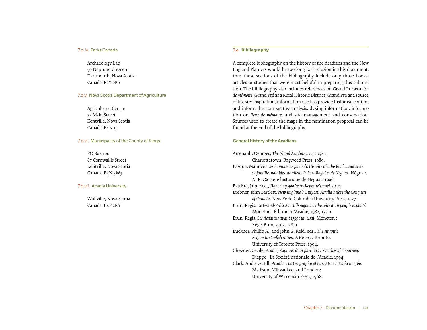#### 7.d.iv. Parks Canada

Archaeology Lab 50 Neptune Crescent Dartmouth, Nova Scotia Canada B2Y 0B6

#### 7.d.v. Nova Scotia Department of Agriculture

Agricultural Centre 32 Main Street Kentville, Nova Scotia Canada B4N 1J5

#### 7.d.vi. Municipality of the County of Kings

PO Box 100 87 Cornwallis Street Kentville, Nova Scotia Canada B4N 3W3

#### 7.d.vii. Acadia University

Wolfville, Nova Scotia Canada B4P 2R6

#### 7.e. **Bibliography**

A complete bibliography on the history of the Acadians and the New England Planters would be too long for inclusion in this document, thus those sections of the bibliography include only those books, articles or studies that were most helpful in preparing this submission. The bibliography also includes references on Grand Pré as a *lieu de mémoire*, Grand Pré as a Rural Historic District, Grand Pré as a source of literary inspiration, information used to provide historical context and inform the comparative analysis, dyking information, information on *lieux de mémoire*, and site management and conservation. Sources used to create the maps in the nomination proposal can be found at the end of the bibliography.

#### General History of the Acadians

Arsenault, Georges, *The Island Acadians, 1720-1980.* Charlottetown: Ragweed Press, 1989. Basque, Maurice, *Des hommes de pouvoir. Histoire d'Otho Robichaud et de sa famille, notables acadiens de Port-Royal et de Néguac*. Néguac, N.-B. : Société historique de Néguac, 1996. Battiste, Jaime ed., *Honoring 400 Years Kepmite'tmnej.* 2010. Brebner, John Bartlett, *New England's Outpost, Acadia before the Conquest of Canada*. New York: Columbia University Press, 1927. Brun, Régis. *De Grand-Pré à Kouchibougouac: l'histoire d'un peuple exploité*. Moncton : Éditions d'Acadie, 1982, 175 p. Brun, Régis, *Les Acadiens avant 1755 : un essai*. Moncton : Régis Brun, 2003, 128 p. Buckner, Phillip A., and John G. Reid, eds., *The Atlantic Region to Confederation: A History*. Toronto: University of Toronto Press, 1994. Chevrier, Cécile, *Acadie, Esquisses d'un parcours / Sketches of a journey*. Dieppe : La Société nationale de l'Acadie, 1994 Clark, Andrew Hill, *Acadia, The Geography of Early Nova Scotia to 1760*. Madison, Milwaukee, and London: University of Wisconsin Press, 1968.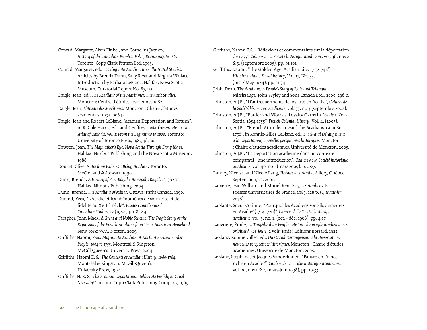Conrad, Margaret, Alvin Finkel, and Cornelius Jaenen,

*History of the Canadian Peoples. Vol. 1, Beginnings to 1867*. Toronto: Copp Clark Pitman Ltd, 1993.

Conrad, Margaret, ed., *Looking into Acadie: Three Illustrated Studies*. Articles by Brenda Dunn, Sally Ross, and Birgitta Wallace, Introduction by Barbara LeBlanc. Halifax: Nova Scotia Museum, Curatorial Report No. 87, n.d.

Daigle, Jean, ed., *The Acadians of the Maritimes: Thematic Studies*. Moncton: Centre d'études acadiennes,1982.

Daigle, Jean, *L'Acadie des Maritimes*. Moncton : Chaire d'études acadiennes, 1993, 908 p.

- Daigle, Jean and Robert LeBlanc, "Acadian Deportation and Return", in R. Cole Harris, ed., and Geoffrey J. Matthews, *Historical Atlas of Canada. Vol. 1: From the Beginning to 1800*. Toronto: University of Toronto Press, 1987, pl. 30.
- Dawson, Joan, *The Mapmaker's Eye, Nova Scotia Through Early Maps*. Halifax: Nimbus Publishing and the Nova Scotia Museum, 1988.
- Doucet, Clive, *Notes from Exile: On Being Acadian*. Toronto: McClelland & Stewart, 1999.

Dunn, Brenda, *A History of Port-Royal / Annapolis Royal, 1605-1800*. Halifax: Nimbus Publishing, 2004.

Dunn, Brenda, *The Acadians of Minas*. Ottawa: Parks Canada, 1990.

Durand, Yves, "L'Acadie et les phénomènes de solidarité et de fidelité au XVIIIe siècle", *Études canadiennes / Canadian Studies*, 13 (1982), pp. 81-84.

Faragher, John Mack, *A Great and Noble Scheme: The Tragic Story of the Expulsion of the French Acadians from Their American Homeland*. New York: W.W. Norton, 2005.

Griffiths, Naomi, *From Migrant to Acadian: A North American Border People, 1604 to 1755*. Montréal & Kingston: McGill-Queen's University Press, 2004.

Griffiths, Naomi E. S., *The Contexts of Acadian History, 1686-1784*. Montréal & Kingston: McGill-Queen's University Press, 1992.

Griffiths, N. E. S., *The Acadian Deportation: Deliberate Perfidy or Cruel Necessity?* Toronto: Copp Clark Publishing Company, 1969.

Griffiths, Naomi E.S., "Réflexions et commentaires sur la déportation de 1755", *Cahiers de la Société historique acadienne*, vol. 36, nos 2 & 3, (septembre 2005), pp. 91-101. Griffiths, Naomi, "The Golden Age: Acadian Life, 1713-1748", *Histoire sociale / Social history*, Vol. 17, No. 33, (mai / May 1984), pp. 21-34. Jobb, Dean. *The Acadians. A People's Story of Exile and Triumph*. Mississauga: John Wyley and Sons Canada Ltd., 2005, 296 p. Johnston, A.J.B., "D'autres serments de loyauté en Acadie", *Cahiers de la Société historique acadienne*, vol. 33, no 3 (septembre 2002). Johnston, A.J.B., "Borderland Worries: Loyalty Oaths in *Acadie* / Nova Scotia, 1654-1755", *French Colonial History*, Vol. 4, (2003). Johnston, A.J.B., "French Attitudes toward the Acadians, ca. 1680- 1756", in Ronnie-Gilles LeBlanc, ed., *Du Grand Dérangement à la Déportation, nouvelles perspectives historiques.* Moncton : Chaire d'études acadiennes, Université de Moncton, 2005. Johnston, A.J.B., "La Déportation acadienne dans un contexte comparatif : une introduction", *Cahiers de la Société historique acadienne*, vol. 40, no 1 (mars 2009), p. 4-27. Landry, Nicolas, and Nicole Lang, *Histoire de l'Acadie*. Sillery, Québec : Septentrion, ca. 2001. Lapierre, Jean-William and Muriel Kent Roy, *Les Acadiens*. Paris: Presses universitaires de France, 1983. 128 p. (*Que sais-je?*; 2078).

Laplante, Soeur Corinne, "Pourquoi les Acadiens sont-ils demeurés en Acadie? (1713-1720)", *Cahiers de la Société historique acadienne*, vol. 3, no. 1, (oct. - déc. 1968), pp. 4-17.

- Lauvrière, Émile, *La Tragédie d'un Peuple : Histoire du peuple acadien de ses origines à nos jours*, 2 vols. Paris : Éditions Bossard, 1922.
- LeBlanc, Ronnie-Gilles, ed., *Du Grand Dérangement à la Déportation, nouvelles perspectives historiques.* Moncton : Chaire d'études acadiennes, Université de Moncton, 2005.
- LeBlanc, Stéphane, et Jacques Vanderlinden, "Pauvre en France, riche en Acadie?", *Cahiers de la Société historique acadienne*, vol. 29, nos 1 & 2, (mars-juin 1998), pp. 10-33.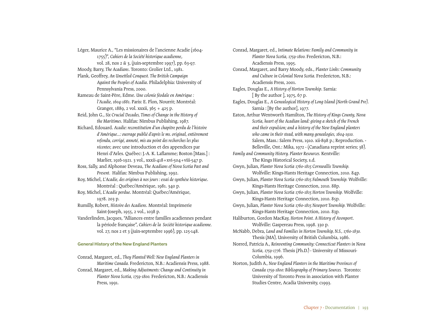1755)", *Cahiers de la Société historique acadienne*, vol. 28, nos 2 & 3, (juin-septembre 1997), pp. 63-97. Moody, Barry, *The Acadians*. Toronto: Grolier Ltd., 1981. Plank, Geoffrey, *An Unsettled Conquest. The British Campaign Against the Peoples of Acadia*. Philadelphia: University of Pennsylvania Press, 2000. Rameau de Saint-Père, Edme. *Une colonie féodale en Amérique : l'Acadie, 1604-1881*. Paris: E. Plon, Nourrit; Montréal: Granger, 1889, 2 vol. xxxii, 365 + 425 p. Reid, John G., *Six Crucial Decades, Times of Change in the History of the Maritimes*. Halifax: Nimbus Publishing, 1987. Richard, Edouard. *Acadie: reconstitution d'un chapitre perdu de l'histoire d'Amérique...: ouvrage publié d'après le ms. original, entièrement refondu, corrigé, annoté, mis au point des recherches les plus récentes*; avec une introduction et des appendices par Henri d'Arles. Québec: J.-A. K. Laflamme; Boston [Mass.] : Marlier, 1916-1921. 3 vol., xxxii-418+xvi-504+viii-547 p. Ross, Sally, and Alphonse Deveau, *The Acadians of Nova Scotia Past and Present.* Halifax: Nimbus Publishing, 1992. Roy, Michel, *L'Acadie, des origines à nos jours : essai de synthèse historique*. Montréal : Québec/Amérique, 1981. 340 p. Roy, Michel, *L'Acadie perdue*. Montréal: Québec/Amérique, 1978. 203 p.

Léger, Maurice A., "Les missionaires de l'ancienne Acadie (1604-

Rumilly, Robert, *Histoire des Acadiens*. Montréal: Imprimerie Saint-Joseph, 1955, 2 vol., 1038 p.

Vanderlinden, Jacques, "Alliances entre familles acadiennes pendant la période française", *Cahiers de la Société historique acadienne.* vol. 27, nos 2 et 3 (juin-septembre 1996), pp. 125-148.

#### General History of the New England Planters

Conrad, Margaret, ed., *They Planted Well: New England Planters in Maritime Canada.* Fredericton, N.B.: Acadiensis Press, 1988. Conrad, Margaret, ed., *Making Adjustments: Change and Continuity in Planter Nova Scotia, 1759-1800.* Fredericton, N.B.: Acadiensis Press, 1991.

Conrad, Margaret, ed., *Intimate Relations: Family and Community in Planter Nova Scotia, 1759-1800.* Fredericton, N.B.: Acadiensis Press, 1995. Conrad, Margaret, and Barry Moody, eds., *Planter Links: Community and Culture in Colonial Nova Scotia.* Fredericton, N.B.: Acadiensis Press, 2001. Eagles, Douglas E., *A History of Horton Township*. Sarnia: [ By the author ], 1975, 67 p. Eagles, Douglas E., *A Genealogical History of Long Island (North Grand Pre)*. Sarnia : [By the author], 1977. Eaton, Arthur Wentworth Hamilton, *The History of Kings County, Nova Scotia, heart of the Acadian land: giving a sketch of the French and their expulsion; and a history of the New England planters who came in their stead, with many genealogies, 1604-1910.* Salem, Mass.: Salem Press, 1910. xii-898 p.; Reproduction. - Belleville, Ont.: Mika, 1972 - (Canadiana reprint series; 38). *Family and Community History. Planter Resources.* Kentville: The Kings Historical Society, s.d. Gwyn, Julian, *Planter Nova Scotia 1760-1815 Cornwallis Township.* Wolfville: Kings-Hants Heritage Connection, 2010. 84p. Gwyn, Julian, *Planter Nova Scotia 1760-1815 Falmouth Township.* Wolfville: Kings-Hants Heritage Connection, 2010. 88p. Gwyn, Julian, *Planter Nova Scotia 1760-1815 Horton Township.* Wolfville: Kings-Hants Heritage Connection, 2010. 85p. Gwyn, Julian, *Planter Nova Scotia 1760-1815 Newport Township.* Wolfville: Kings-Hants Heritage Connection, 2010. 83p. Haliburton, Gordon MacKay, *Horton Point. A History of Avonport*. Wolfville: Gaspereau Press, 1998. 330 p. McNabb, Debra, *Land and Families in Horton Township, N.S., 1760-1830.* Thesis (MA), University of British Columbia, 1986. Norred, Patricia A., *Reinventing Community: Connecticut Planters in Nova Scotia, 1759-1776.* Thesis (Ph.D.) - University of Missouri-Columbia, 1996. Norton, Judith A*., New England Planters in the Maritime Provinces of Canada 1759-1800: Bibliography of Primary Sources.* Toronto: University of Toronto Press in association with Planter

Studies Centre, Acadia University, c1993.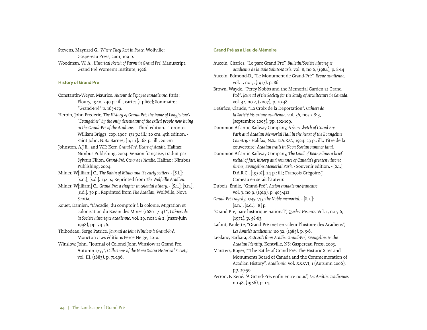Stevens, Maynard G., *Where They Rest in Peace.* Wolfville: Gaspereau Press, 2001, 109 p. Woodman, W. A., *Historical sketch of Farms in Grand Pré.* Manuscript, Grand Pré Women's Institute, 1926.

# History of Grand Pré

- Constantin-Weyer, Maurice. *Autour de l'épopée canadienne.* Paris : Floury, 1940. 240 p.: ill., cartes (1 pliée); Sommaire : "Grand-Pré" p. 163-179.
- Herbin, John Frederic. *The History of Grand-Pré: the home of Longfellow's "Evangeline" by the only descendant of the exiled people now living in the Grand-Pré of the Acadians.* - Third edition. - Toronto: William Briggs, cop. 1907. 171 p.: ill.; 20 cm. 4th edition. - Saint John, N.B.: Barnes, [1911?]. 168 p.: ill.; 20 cm
- Johnston, A.J.B., and W.P. Kerr, *Grand-Pré, Heart of Acadie*. Halifax: Nimbus Publishing, 2004. Version française, traduit par Sylvain Filion, *Grand-Pré, Cœur de l'Acadie*. Halifax : Nimbus Publishing, 2004.
- Milner, W[illiam] C., *The Babin of Minas and it's early settlers.* [S.l.]: [s.n.], [s.d.]. 132 p.; Reprinted from *The Wolfville Acadian*.
- Milner, W[illiam] C., *Grand Pre: a chapter in colonial history.* [S.1.]: [s.n.], [s.d.]. 30 p., Reprinted from *The Acadian,* Wolfville, Nova Scotia.
- Rouet, Damien, "L'Acadie, du comptoir à la colonie. Migration et colonisation du Bassin des Mines (1680-1714) ", *Cahiers de la Société historique acadienne*. vol. 29, nos 1 & 2, (mars-juin 1998), pp. 34-56.
- Thibodeau, Serge Patrice, *Journal de John Winslow à Grand-Pré*. Moncton : Les éditions Perce Neige, 2010.
- Winslow, John. "Journal of Colonel John Winslow at Grand Pre, Autumn 1755", *Collections of the Nova Scotia Historical Society.* vol. III, (1883), p. 71-196.

### Grand Pré as a Lieu de Mémoire

Aucoin, Charles, "Le parc Grand Pré", *Bulletin/Société historique acadienne de la Baie Sainte-Marie.* vol. 8, no 6, (1984), p. 8-14 Aucoin, Edmond-D., "Le Monument de Grand-Pré", *Revue acadienne.* vol. 1, no 5, (1917), p. 86. Brown, Wayde. "Percy Nobbs and the Memorial Garden at Grand Pré", *Journal of the Society for the Study of Architecture in Canada.*  vol. 32, no 2, (2007), p. 29-38. DeGrâce, Claude, "La Croix de la Déportation", *Cahiers de la Société historique acadienne*. vol. 36, nos 2 & 3, (septembre 2005), pp. 102-109. Dominion Atlantic Railway Company, *A short sketch of Grand Pre Park and Acadian Memorial Hall in the heart of the Evangeline Country.* - Halifax, N.S.: D.A.R.C., 1924. 23 p.: ill.; Titre de la couverture: *Acadian trails in Nova Scotian summer land.* Dominion Atlantic Railway Company, *The Land of Evangeline: a brief recital of fact, history and romance of Canada's greatest historic shrine, Evangeline Memorial Park.* - Souvenir edition. - [S.1.]: D.A.R.C., [1930?]. 24 p.: ill.; François Grégoire-J. Comeau en serait l'auteur. Dubois, Émile, "Grand-Pré", *Action canadienne-française*. vol. 3, no 9, (1919), p. 403-412. *Grand-Pré tragedy, 1745-1755: the Noble memorial.* - [S.1.]: [s.n.], [s.d.]. [8] p. "Grand Pré, parc historique national", *Québec Histoire*. Vol. 1, no 5-6,  $(1972)$ , p. 58-63. Lafont, Paulette, "Grand-Pré met en valeur l'histoire des Acadiens", *Les Amitiés acadiennes.* no 32, (1985), p. 5-6. LeBlanc, Barbara, *Postcards from Acadie: Grand-Pré, Evangeline & the Acadian Identity*. Kentville, NS: Gaspereau Press, 2003. Marsters, Roger, "'The Battle of Grand Pré: The Historic Sites and Monuments Board of Canada and the Commemoration of Acadian History", *Acadiensis.* Vol. XXXVI, 1 (Autumn 2006), pp. 29-50. Perron, F. René. "A Grand-Pré: enfin entre nous", *Les Amitiés acadiennes.* no 38, (1986), p. 14.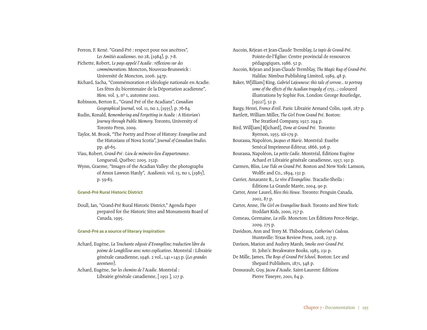Perron, F. René. "Grand-Pré : respect pour nos ancêtres", *Les Amitiés acadiennes*. no 28, (1984), p. 7-8.

Pichette, Robert, *Le pays appelé l'Acadie : réflexions sur des commémorations.* Moncton, Nouveau-Brunswick : Université de Moncton, 2006. 347p.

Richard, Sacha, "Commémoration et idéologie nationale en Acadie. Les fêtes du bicentenaire de la Déportation acadienne", *Mens.* vol. 3, n<sup>o</sup> 1, automne 2002.

Robinson, Berton E., "Grand Pré of the Acadians", *Canadian Geographical Journal*, vol. 11, no 2, (1935), p. 76-84.

Rudin, Ronald, *Remembering and Forgetting in Acadie : A Historian's Journey through Public Memory.* Toronto, University of Toronto Press, 2009.

Taylor, M. Brook, "The Poetry and Prose of History: *Evangeline* and the Historians of Nova Scotia", *Journal of Canadian Studies.* pp. 46-65.

Viau, Robert, *Grand-Pré : Lieu de mémoire-lieu d'appartenance.* Longueuil, Québec: 2005. 252p.

Wynn, Graeme, "Images of the Acadian Valley: the photographs of Amos Lawson Hardy", *Acadiensis*. vol. 15, no 1, (1985), p. 59-83.

#### Grand-Pré Rural Historic District

Doull, Ian, "Grand-Pré Rural Historic District," Agenda Paper prepared for the Historic Sites and Monuments Board of Canada, 1995.

#### Grand-Pré as a source of literary inspiration

Achard, Eugène, *La Touchante odyssée d'Evangéline; traduction libre du poème de Longfellow avec notes explicatives*. Montréal : Librairie générale canadienne, 1946. 2 vol., 141+143 p. (*Les grandes aventures*).

Achard, Eugène, *Sur les chemins de l'Acadie*. Montréal : Librairie générale canadienne, [ 1951 ], 127 p. Aucoin, Réjean et Jean-Claude Tremblay, *Le tapis de Grand-Pré*. Pointe-de-l'Église: Centre provincial de ressources pédagogiques, 1986. 52 p. Aucoin, Réjean and Jean-Claude Tremblay, *The Magic Rug of Grand-Pré*. Halifax: Nimbus Publishing Limited, 1989, 48 p. Baker, W[illiam] King, *Gabriel Lajeunesse: this tale of sorrow... to portray some of the effects of the Acadian tragedy of 1755...*; coloured illustrations by Sophie Fox. London: George Routledge, [1922?], 52 p. Bargy, Henri, *France d'exil*. Paris: Librairie Armand Colin, 1908, 287 p. Bartlett, William Miller, *The Girl From Grand Pré*. Boston: The Stratford Company, 1927, 294 p. Bird, Will[iam] R[ichard], *Done at Grand Pré.* Toronto: Ryerson, 1955. xii-179 p. Bourassa, Napoléon, *Jacques et Marie*. Montréal: Eusèbe Senécal Imprimeur-Éditeur, 1866, 306 p. Bourassa, Napoléon, *La petite Cadie*. Montréal, Éditions Eugène Achard et Librairie générale canadienne, 1957, 192 p. Carmen, Bliss, *Low Tide on Grand Pré*. Boston and New York: Lamson, Wolffe and Co., 1894, 132 p. Carrier, Amarante R., *Le rêve d'Évangéline*. Tracadie-Sheila : Éditions La Grande Marée, 2004, 90 p. Carter, Anne Laurel, *Bless this House.* Toronto: Penguin Canada, 2002, 87 p. Carter, Anne, *The Girl on Evangeline Beach.* Toronto and New York: Stoddart Kids, 2000, 257 p. Comeau, Germaine, *La ville*. Moncton: Les Éditions Perce-Neige, 2009*,* 275 p. Davidson, Ann and Terry M. Thibodeaux, *Catherine's Cadeau.* Huntsville: Texas Review Press, 2008, 237 p. Davison, Marion and Audrey Marsh, *Smoke over Grand Pré.* St. John's: Breakwater Books, 1983, 231 p. De Mille, James, *The Boys of Grand Pré School*. Boston: Lee and Shepard Publishers, 1871, 348 p. Dessurault, Guy, *Jacou d'Acadie*. Saint-Laurent: Éditions Pierre Tisseyre, 2001, 64 p.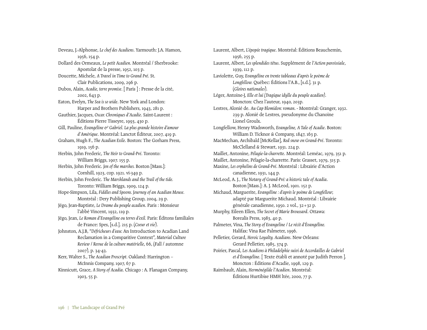Deveau, J.-Alphonse, *Le chef des Acadiens*. Yarmouth: J.A. Hamon, 1956, 154 p. Dollard des Ormeaux, *Le petit Acadien*. Montréal / Sherbrooke: Apostolat de la presse, 1952, 103 p. Doucette, Michele, *A Travel in Time to Grand Pré*. St. Clair Publications, 2009, 296 p. Dubos, Alain, *Acadie, terre promise*. [ Paris ] : Presse de la cité, 2002, 643 p. Eaton, Evelyn, *The Sea is so wide*. New York and London: Harper and Brothers Publishers, 1943, 281 p. Gauthier, Jacques, *Oscar. Chroniques d'Acadie*. Saint-Laurent : Éditions Pierre Tisseyre, 1993, 430 p. Gill, Pauline, Évangéline e<sup>y</sup> Gabriel. La plus grande histoire d'amour *d'Amérique*. Montréal: Lanctot Éditeur, 2007, 419 p. Graham, Hugh F., *The Acadian Exile*. Boston: The Gorham Press, 1919, 156 p. Herbin, John Frederic, *The Heir to Grand-Pré*. Toronto: William Briggs, 1907. 155 p. Herbin, John Frederic. *Jen of the marshes.* Boston [Mass.]: Cornhill, 1923, cop. 1921. vi-349 p. Herbin, John Frederic. *The Marshlands and the Trail of the tide.* Toronto: William Briggs, 1909, 124 p. Hope-Simpson, Lila, *Fiddles and Spoons. Journey of an Acadian Mouse.* Montréal : Dery Publishing Group, 2004, 29 p. Jégo, Jean-Baptiste, *Le Drame du peuple acadien*. Paris : Monsieur l'abbé Vincent, 1932, 119 p. Jégo, Jean, *Le Roman d'Evangéline ou terres d'exil.* Paris: Éditons familiales de France: Spes, [s.d.]. 215 p. (*Coeur et vie*). Johnston, A.J.B, "*Défricheurs d'eau*: An Introduction to Acadian Land Reclamation in a Comparitive Context", *Material Culture Review / Revue de la culture matérielle*, 66, (Fall / automne 2007), p. 34-43. Kerr, Walter S., *The Acadian Proscript.* Oakland: Harrington – McInnis Company, 1907, 67 p. Kinnicutt, Grace, *A Story of Acadia*. Chicago : A. Flanagan Company, 1903, 55 p.

Laurent, Albert, *L'épopée tragique*. Montréal: Éditions Beauchemin, 1956, 255 p. Laurent, Albert, *Les splendides têtus*. Supplément de *l'Action paroissiale*, 1939, 112 p. Laviolette, Guy, *Evangéline en trente tableaux d'après le poème de Longfellow.* Québec: Éditions l'A.B., [s.d.]. 31 p. (*Gloires nationales*). Léger, Antoine-J, *Elle et lui (Tragique idylle du peuple acadien)*. Moncton: Chez l'auteur, 1940, 203p. Lestres, Alonié de. *Au Cap Blomidon: roman*. - Montréal: Granger, 1932. 239 p. Alonié de Lestres, pseudonyme du Chanoine Lionel Groulx. Longfellow, Henry Wadsworth, *Evangeline, A Tale of Acadie*. Boston: William D. Ticknor & Company, 1847, 163 p. MacMechan, Archibald [McKellar], *Red snow on Grand-Pré*. Toronto: McClelland & Stewart, 1931. 224 p. Maillet, Antonine, *Pélagie-la-charrette*. Montréal: Leméac, 1979, 351 p. Maillet, Antonine, Pélagie-la-charrette. Paris: Grasset, 1979, 315 p. Maxine, *Les orphelins de Grand-Pré*. Montréal : Librairie d'Action canadienne, 1931, 144 p. McLeod, A. J., *The Notary of Grand-Pré: a historic tale of Acadia*. Boston [Mass.]: A. J. McLeod, 1901. 152 p. Michaud, Marguerite, *Evangéline : d'après le poème de Longfellow*; adapté par Marguerite Michaud. Montréal : Librairie générale canadienne, 1950. 2 vol., 32+32 p. Murphy, Eileen Ellen, *The Secret of Marie Broussard*. Ottawa: Borealis Press, 1983, 40 p. Palmeter, Vina, *The Story of Evangeline / Le récit d'Évangéline.*  Halifax: Vina Rae Palmeter, 1996. Pelletier, Gerard, *Heroic Loyalty. Acadians*. New Orleans: Gerard Pelletier, 1985, 374 p. Poirier, Pascal, *Les Acadiens à Philadelphie suivi de Accordailles de Gabriel et d'Évangéline*. [ Texte établi et annoté par Judith Perron ]. Moncton : Éditions d'Acadie, 1998, 129 p. Raimbault, Alain, *Herménégilde l'Acadien*. Montréal: Éditions Hurtibise HMH ltée, 2000, 77 p.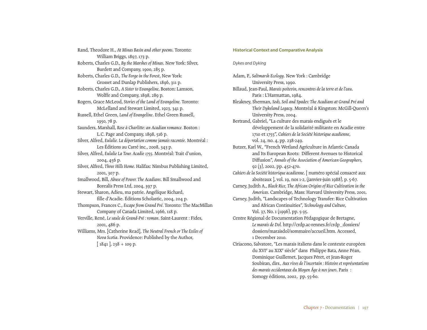Rand, Theodore H., *At Minas Basin and other poems*. Toronto: William Briggs, 1897, 173 p. Roberts, Charles G.D., *By the Marshes of Minas*. New York: Silver, Burdett and Company, 1900, 285 p. Roberts, Charles G.D., *The Forge in the Forest*, New York: Grosset and Dunlap Publishers, 1896, 311 p. Roberts, Charles G.D., *A Sister to Evangeline*, Boston: Lamson, Wolffe and Company, 1898, 289 p. Rogers, Grace McLeod, *Stories of the Land of Evangeline.* Toronto: McLelland and Stewart Limited, 1923, 341 p. Russell, Ethel Green, *Land of Evangeline*. Ethel Green Russell, 1950, 78 p. Saunders, Marshall, *Rose à Charlitte: an Acadian romance.* Boston : L.C. Page and Company, 1898, 516 p. Silver, Alfred, *Eulalie. La déportation comme jamais racontée.* Montréal : Les Éditions au Carré inc., 2008, 343 p. Silver, Alfred, *Eulalie La Tour. Acadie 1755*. Montréal: Trait d'union, 2004, 456 p. Silver, Alfred, *Three Hills Home.* Halifax: Nimbus Publishing Limited, 2001, 307 p. Smallwood, Bill, *Abuse of Power. The Acadians*. Bill Smallwood and Borealis Press Ltd, 2004, 397 p. Stewart, Sharon, Adieu, ma patrie. Angélique Richard, fille d'Acadie. Éditions Scholastic, 2004, 204 p. Thompson, Frances C., *Escape from Grand Pré.* Toronto: The MacMillan Company of Canada Limited, 1966, 118 p. Verville, René, *Le saule de Grand-Pré : roman*. Saint-Laurent : Fides, 2001, 486 p. Williams, Mrs. [Catherine Read], *The Neutral French or The Exiles of Nova Scotia*. Providence: Published by the Author,  $[1841]$ , 238 + 109 p.

#### Historical Context and Comparative Analysis

#### *Dykes and Dyking*

Adam, P., *Saltmarsh Ecology*. New York : Cambridge University Press, 1990. Billaud, Jean-Paul, *Marais poitevin, rencontres de la terre et de l'eau*. Paris : L'Harmattan, 1984. Bleakney, Sherman, *Sods, Soil and Spades: The Acadians at Grand Pré and Their Dykeland Legacy*. Montréal & Kingston: McGill-Queen's University Press, 2004. Bertrand, Gabriel, "La culture des marais endigués et le développement de la solidarité militante en Acadie entre 1710 et 1755", *Cahiers de la Société historique acadienne*, vol. 24, no. 4, pp. 238-249. Butzer, Karl W., "French Wetland Agriculture in Atlantic Canada and Its European Roots: Different Avenues to Historical Diffusion", *Annals of the Association of American Geographers*,  $92$   $(3)$ , 2002, pp. 452-470. *Cahiers de la Société historique acadienne*. [ numéro spécial consacré aux aboiteaux ], vol. 19, nos 1-2, (janvier-juin 1988), p. 5-67. Carney, Judith A., *Black Rice, The African Origins of Rice Cultivation in the Americas*. Cambridge, Mass: Harvard University Press, 2001. Carney, Judith, "Landscapes of Technology Transfer: Rice Cultivation and African Continuities", *Technology and Culture*, Vol. 37, No. 1 (1996), pp. 5-35. Centre Régional de Documentation Pédagogique de Bretagne, *Le marais de Dol.* http://crdp.ac-rennes.fr/crdp\_dossiers/ dossiers/maraisdol/sommaire/accueil.htm. Accessed, 1 December 2010.

Ciriacono, Salvatore, "Les marais italiens dans le contexte européen du XVIe au XIXe siècle" dans Philippe Bata, Anne Péan, Dominique Guillemet, Jacques Péret, et Jean-Roger Soubiran, dirs*., Aux rives de l'incertain : Histoire et représentations des marais occidentaux du Moyen Âge à nos jours*. Paris : Somogy éditions, 2002, pp. 55-60.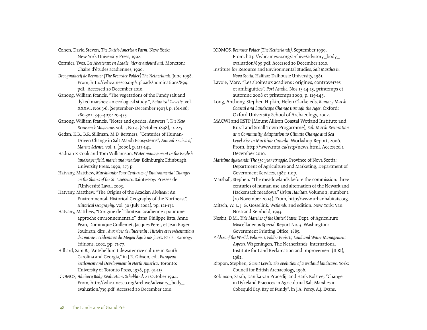Cohen, David Steven, *The Dutch-American Farm*. New York: New York University Press, 1992.

- Cormier, Yves, *Les Aboiteaux en Acadie, hier et aujourd'hui*. Moncton: Chaire d'études acadiennes, 1990.
- *Droogmakerij de Beemster (The Beemster Polder) The Netherlands*. June 1998. From, http://whc.unesco.org/uploads/nominations/899. pdf. Accessed 20 December 2010.
- Ganong, William Francis, "The vegetations of the Fundy salt and dyked marshes: an ecological study ", *Botanical Gazette*. vol. XXXVI, Nos 3-6, (September- December 1903), p. 161-186; 280-302; 349-407;429-455.
- Ganong, William Francis, "Notes and queries. Answers.", *The New Brunswick Magazine*. vol. I, No 4, (October 1898), p. 225.
- Gedan, K.B., B.R. Silliman, M.D. Bertness, "Centuries of Human-Driven Change in Salt Marsh Ecosystems", *Annual Review of Marine Science.* vol. 1, (2009), p. 117-141.
- Hadrian F. Cook and Tom Williamson. *Water management in the English landscape: field, marsh and meadow.* Edinburgh: Edinburgh University Press, 1999, 273 p.
- Hatvany, Matthew, *Marshlands: Four Centuries of Environmental Changes on the Shores of the St. Lawrence.* Sainte-Foy: Presses de l'Université Laval, 2003.
- Hatvany, Matthew, "The Origins of the Acadian *Aboiteau*: An Environmental- Historical Geography of the Northeast", *Historical Geography.* Vol. 30 (July 2002), pp. 121-137.
- Hatvany, Matthew, "L'origine de l'aboiteau acadienne : pour une approche environnementale", dans Philippe Bata, Anne Péan, Dominique Guillemet, Jacques Péret, et Jean-Roger Soubiran, dirs*., Aux rives de l'incertain : Histoire et représentations des marais occidentaux du Moyen Âge à nos jours*. Paris : Somogy éditions, 2002, pp. 71-77.
- Hilliard, Sam B., "Antebellum tidewater rice culture in South Carolina and Georgia," in J.R. Gibson, ed., *European Settlement and Development in North America*. Toronto: University of Toronto Press, 1978, pp. 91-115.
- ICOMOS, *Advisory Body Evaluation*. *Schokland*. 21 October 1994. From, http://whc.unesco.org/archive/advisory\_body\_ evaluation/739.pdf. Accessed 20 December 2010.

ICOMOS, *Beemster Polder (The Netherlands)*. September 1999. From, http://whc.unesco.org/archive/advisory\_body\_

evaluation/899.pdf. Accessed 20 December 2010. Institute for Resource and Environmental Studies, *Salt Marshes in Nova Scotia.* Halifax: Dalhousie University, 1981.

- Lavoie, Marc. "Les aboiteaux acadiens : origines, controverses et ambiguities", *Port Acadie.* Nos 13-14-15, printemps et automne 2008 et printemps 2009, p. 115-145.
- Long, Anthony, Stephen Hipkin, Helen Clarke eds, *Romney Marsh Coastal and Landscape Change through the Ages*. Oxford: Oxford University School of Archaeology, 2002.
- MACWI and RSTP (Mount Allison Coastal Wetland Institute and Rural and Small Town Progarmme), *Salt Marsh Restoration as a Community Adaptation to Climate Change and Sea Level Rise in Maritime Canada.* Workshop Report, 2006. From, http://www.mta.ca/rstp/news.html. Accessed 1 December 2010.
- *Maritime dykelands: The 350 year struggle*. Province of Nova Scotia: Department of Agriculture and Marketing, Department of Government Services, 1987. 110p.
- Marshall, Stephen. "The meadowlands before the commission: three centuries of human use and alternation of the Newark and Hackensack meadows." *Urban Habitats.* Volume 2, number 1 (29 November 2004). From, http://www.urbanhabitats.org.
- Mitsch, W. J., J. G. Gosselink, *Wetlands.* 2nd edition. New York: Van Nostrand Reinhold, 1993.

Nesbit, D.M., *Tide Marshes of the United States.* Dept. of Agriculture Miscellaneous Special Report No. 3. Washington: Government Printing Office, 1885.

- *Polders of the World, Volume 1, Polder Projects, Land and Water Management Aspects.* Wageningen, The Netherlands: International Institute for Land Reclamation and Improvement (ILRI), 1982.
- Rippon, Stephen, *Gwent Levels: The evolution of a wetland landscape*. York: Council for British Archaeology, 1996.
- Robinson, Sarah, Danika van Proosdiji and Hank Kolstee, "Change in Dykeland Practices in Agricultural Salt Marshes in Cobequid Bay, Bay of Fundy", in J.A. Percy, A.J. Evans,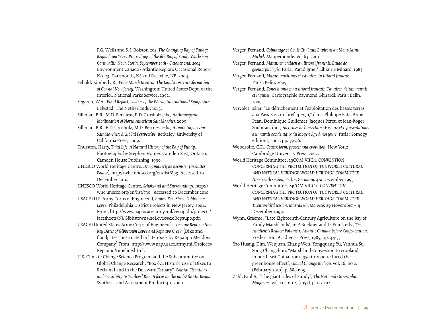P.G. Wells and S. J. Rolston eds. *The Changing Bay of Fundy: Beyond 400 Years. Proceedings of the 6th Bay of Fundy Workshop, Cornwallis, Nova Scotia, September 29th - October 2nd, 2004*. Environment Canada - Atlantic Region, Occasional Report No. 23. Dartmouth, NS and Sackville, NB, 2004.

Sebold, Kimberly R., *From Marsh to Farm: The Landscape Transformation of Coastal New Jersey.* Washington: United States Dept. of the Interior, National Parks Service, 1992.

Segeren, W.A., *Final Report. Polders of the World, International Symposium.* Lelystad, The Netherlands : 1983.

Silliman, B.R., M.D. Bertness, E.D. Grosholz eds., *Anthropogenic Modification of North American Salt Marshes.* 2009.

Silliman, B.R., E.D. Grosholz, M.D. Bertness eds., *Human Impacts on Salt Marshes: A Global Perspective.* Berkeley: University of California Press, 2009.

Thurston, Harry, *Tidal Life, A Natural History of the Bay of Fundy*. Photographs by Stephen Homer. Camden East, Ontario: Camden House Publishing, 1990.

UNESCO World Heritage Centre, *Droogmakerij de Beemster (Beemster Polder).* http://whc.unesco.org/en/list/899. Accessed 20 December 2010.

UNESCO World Heritage Centre, *Schokland and Surroundings*. http:// whc.unesco.org/en/list/739. Accessed 20 December 2010.

USACE (U.S. Army Corps of Engineers), *Project Fact Sheet, Gibbstown Levee*. Philadelphia District Projects in New Jersey, 2004. From, http://www.nap.usace.army.mil/cenap-dp/projects/ factsheets/NJ/Gibbstown%20Levee%20Repaupo.pdf.

USACE (United States Army Corps of Engineers), *Timeline Representing Key Dates of Gibbstown Levee and Repaupo Creek.* (Dike and floodgates constructed in late 1600s by Repaupo Meadow Company) From, http://www.nap.usace.army.mil/Projects/ Repaupo/timeline.html.

U.S. Climate Change Science Program and the Subcommittee on Global Change Research, "Box 6.1: Historic Use of Dikes to Reclaim Land in the Delaware Estuary", *Coastal Elevations and Sensitivity to Sea-level Rise: A focus on the mid-Atlantic Region.*  Synthesis and Assessment Product 4.1. 2009.

Verger, Fernand, *Colmatage et Génie Civil aux Environs du Mont-Saint-Michel*. Mappemonde. Vol 63. 2001.

Verger, Fernand, *Marais et wadden du littoral français. Étude de géomorphologie*. Paris : Paradigme / Librairie Minard, 1983.

Verger, Fernand, *Marais maritimes et estuaires du littoral français*.

Paris : Belin, 2005.

Verger, Fernand, *Zones humides du littoral français. Estuaires, deltas, marais et lagunes*. Cartographie Raymond Ghirardi. Paris : Belin, 2009.

Vervolet, Jelier, "Le défrichement et l'exploitation des basses terres aux Pays-Bas ; un bref aperçu," dans Philippe Bata, Anne Péan, Dominique Guillemet, Jacques Péret, et Jean-Roger Soubiran, dirs*., Aux rives de l'incertain : Histoire et représentations des marais occidentaux du Moyen Âge à nos jours*. Paris : Somogy éditions, 2002, pp. 39-46. .

Woodroffe, C.D., *Coasts: form, process and evolution*. New York: Cambridge University Press, 2002.

World Heritage Committee, 19COM VIIC.1. *CONVENTION CONCERNING THE PROTECTION OF THE WORLD CULTURAL AND NATURAL HERITAGE WORLD HERITAGE COMMITTEE Nineteenth session, Berlin, Germany.* 4-9 December 1995.

World Heritage Committee, 23COM VIIIC.1. *CONVENTION CONCERNING THE PROTECTION OF THE WORLD CULTURAL AND NATURAL HERITAGE WORLD HERITAGE COMMITTEE Twenty-third session, Marrakesh, Morocco*. 29 November – 4 December 1999.

Wynn, Graeme, "Late Eighteenth-Century Agriculture on the Bay of Fundy Marshlands", in P. Buckner and D. Frank eds., *The Acadiensis Reader: Volume 1: Atlantic Canada before Confederation.*  Fredericton: Acadiensis Press, 1985, pp. 44-53.

Yao Huang, Dim. Wenjuan, Zhang Wen, Yongquang Yu, Yanhua Su, Song Changchun, "Marshland Conversion to cropland in northeast China from 1950 to 2000 reduced the greenhouse effect", *Global Change Biology.* vol. 16, no 2, (February 2010), p. 680-695.

Zahl, Paul A., "The giant tides of Fundy", *The National Geographic Magazine.* vol. 112, no 2, (1957), p. 153-192.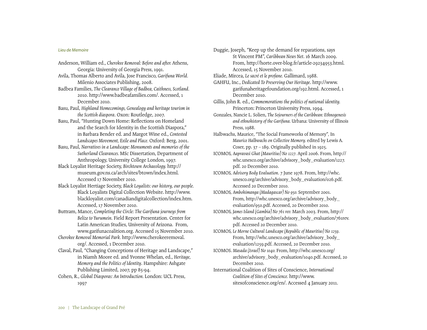#### *Lieu de Memoire*

- Anderson, William ed., *Cherokee Removal: Before and after.* Athens, Georgia: University of Georgia Press, 1991.
- Avila, Thomas Alberto and Avila, Jose Francisco, *Garifuna World.*  Milenio Associates Publishing, 2008.
- Badbea Families, *The Clearance Village of Badbea, Caithness, Scotland.*  2010. http://www.badbeafamilies.com/. Accessed, 1 December 2010.
- Basu, Paul, *Highland Homecomings, Genealogy and heritage tourism in the Scottish diaspora*. Oxon: Routledge, 2007.
- Basu, Paul, "Hunting Down Home: Reflections on Homeland and the Search for Identity in the Scottish Diaspora," in Barbara Bender ed. and Margot Wine ed., *Contested Landscapes Movement, Exile and Place.* Oxford: Berg, 2001.
- Basu, Paul, *Narratives in a Landscape: Monuments and memories of the Sutherland Clearances.* MSc Dissertation, Department of Anthropology, University College London, 1997.
- Black Loyalist Heritage Society, *Birchtown Archaeology.* http:// museum.gov.ns.ca/arch/sites/btown/index.html. Accessed 17 November 2010.
- Black Loyalist Hertiage Society, *Black Loyalists: our history, our people.*  Black Loyalists Digital Collection Website. http://www. blackloyalist.com/canadiandigitalcollection/index.htm. Accessed, 17 November 2010.
- Buttram, Mance, *Completing the Circle: The Garifuna journeys from Belize to Yurumein*. Field Report Presentation. Center for Latin American Studies, University of Arizona. From, www.garifunacoalition.org. Accessed 15 November 2010.
- *Cherokee Removal Memorial Park.* http://www.cherokeeremoval. org/. Accessed, 1 December 2010.
- Claval, Paul, "Changing Conceptions of Heritage and Landscape," in Niamh Moore ed. and Yvonne Whelan, ed., *Heritage, Memory and the Politics of Identity*. Hampshire: Ashgate Publishing Limited, 2007, pp 85-94.
- Cohen, R., *Global Diasporas: An Introduction.* London: UCL Press, 1997

Duggie, Joseph, "Keep up the demand for reparations, says St Vincent PM", *Caribbean News Net*. 16 March 2009. From, http://horte.over-blog.fr/article-29234953.html. Accessed, 15 November 2010.

Eliade, Mircea, *Le sacré et le profane.* Gallimard, 1988.

- GAHFU, Inc., *Dedicated To Preserving Our Heritage*. http://www. garifunaheritagefoundation.org/192.html. Accessed, 1 December 2010.
- Gillis, John R. ed., *Commemorations the politics of national identity.*  Princeton: Princeton University Press, 1994.
- Gonzales, Nancie L. Solien, *The Sojourners of the Caribbean: Ethnogenesis and ethnohistory of the Garifuna.* Urbana: University of Illinois Press, 1988.
- Halbwachs, Maurice, "The Social Frameworks of Memory"*,* In *Maurice Halbwachs on Collective Memory.* edited by Lewis A. Coser, pp. 37 – 189. Originally published in 1925.
- ICOMOS, *Aapravasi Ghat (Mauritius) No 1227.* April 2006. From, http:// whc.unesco.org/archive/advisory\_body\_evaluation/1227. pdf. 20 December 2010.
- ICOMOS, *Advisory Body Evaluation*. 7 June 1978. From, http://whc. unesco.org/archive/advisory\_body\_evaluation/026.pdf. Accessed 20 December 2010.
- ICOMOS, *Ambohimanga (Madagascar) No 950.* September 2001. From, http://whc.unesco.org/archive/advisory\_body\_ evaluation/950.pdf. Accessed, 20 December 2010.
- ICOMOS, *James Island (Gambia) No 761 rev.* March 2003. From, http:// whc.unesco.org/archive/advisory\_body\_evaluation/761rev. pdf. Accessed 20 December 2010.
- ICOMOS, *Le Morne Cultural Landscape (Republic of Mauritius) No 1259.*  From, http://whc.unesco.org/archive/advisory\_body\_ evaluation/1259.pdf. Accessed, 20 December 2010.
- ICOMOS. *Masada (Israel) No 1040.* From, http://whc.unesco.org/ archive/advisory\_body\_evaluation/1040.pdf. Accessed, 20 December 2010.
- International Coalition of Sites of Conscience, *International Coalition of Sites of Conscience.* http://www. sitesofconscience.org/en/. Accessed 4 January 2011.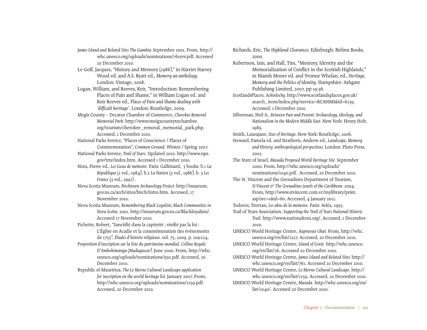- *James Island and Related Sites The Gambia.* September 2001. From, http:// whc.unesco.org/uploads/nominations/761rev.pdf. Accessed 20 December 2010.
- Le Goff, Jacques, "History and Memory (1986)," in Harriet Harvey Wood ed. and A.S. Byatt ed., *Memory an anthology*. London: Vintage, 2008.
- Logan, William, and Reeves, Keir, "Introduction: Remembering Places of Pain and Shame," in William Logan ed. and Keir Reeves ed., *Places of Pain and Shame dealing with 'difficult heritage'*. London: Routledge, 2009.
- Megis County Decatur Chamber of Commerce, *Cherokee Removal Memorial Park.* http://www.meigscountytnchamber. org/tourism/cherokee\_removal\_memorial\_park.php. Accessed, 1 December 2010.
- National Parks Service, "Places of Conscience / Places of Commemoration", *Common Ground*. Winter / Spring 2007.
- National Parks Service, *Trail of Tears*. Updated 2010. http://www.nps. gov/trte/index.htm. Accessed 1 December 2010.
- Nora, Pierre ed., *Les Lieux de mémoire.* Paris: Gallimard, 3 books: b.1 *La République* (1 vol., 1984), b.2 *La Nation* (3 vol., 1986), b. 3 *Les France* (3 vol., 1992).
- Nova Scotia Museum, *Birchtown Archaeology Project.* http://museum. gov.ns.ca/arch/sites/birch/intro.htm. Accessed, 17 November 2010.
- Nova Scotia Museum, *Remembering Black Loyalists, Black Communities in Nova Scotia.* 2001. http://museum.gov.ns.ca/Blackloyalists/. Accessed 17 November 2010.
- Pichette, Robert, "Sanctifié dans la captivité ; vivifié par la foi : L'Église en Acadie et la commémoration des événements de 1755", *Études d'histoire religieuse.* vol. 75, 2009, p. 109-124.
- *Proposition d'inscription sur la liste du patrimoine mondial. Colline Royale D'Ambohimanga (Madagascar).* June 2000. From, http://whc. unesco.org/uploads/nominations/950.pdf. Accessed, 20 December 2010.
- Republic of Mauritius, *The Le Morne Cultural Landscape application for inscription on the world heritage list.* January 2007. From, http://whc.unesco.org/uploads/nominations/1259.pdf. Accessed, 20 December 2010.

Richards, Eric, *The Highland Clearances.* Edinburgh: Birlinn Books, 2000.

- Robertson, Iain, and Hall, Tim, "Memory, Identity and the Memorialization of Conflict in the Scottish Highlands," in Niamh Moore ed. and Yvonne Whelan, ed., *Heritage, Memory and the Politics of Identity*. Hampshire: Ashgate Publishing Limited, 2007, pp 19-36.
- ScotlandsPlaces, *Achinlochy.* http://www.scotlandsplaces.gov.uk/ search\_item/index.php?service=RCAHMS&id=6239. Accessed, 1 December 2010.
- Silberman, Neil A., *Between Past and Present: Archaeology, Ideology, and Nationalism in the Modern Middle East.* New York: Henry Holt, 1989.
- Smith, Laurajane, *Uses of Heritage.* New York: Routledge, 2006.
- Steward, Pamela ed. and Strathern, Andrew ed., *Landscape, Memory and History: anthropological perspectives.* London: Pluto Press, 2003.
- The State of Israel, *Masada Proposed World Heritage Site.* September 2000. From, http://whc.unesco.org/uploads/ nominations/1040.pdf. Accessed, 20 December 2010.
- The St. Vincent and the Grenadines Department of Tourism, *St Vincent & The Grenadines jewels of the Caribbean.* 2004. From, http://www.stvincent.com.vc/mylibrary/print. asp?src=1&id=60. Accessed, 4 January 2011.
- Todorov, Tzvetan, *Les abus de la mémoire*. Paris: Arléa, 1995.
- Trail of Tears Association, *Supporting the Trail of Tears National Historic Trail.* http://www.nationaltota.org/. Accessed, 1 December 2010.
- UNESCO World Heritage Centre, *Aapravasi Ghat.* From, http://whc. unesco.org/en/list/1227. Accessed, 20 December 2010.
- UNESCO World Heritage Centre, *Island of Gorée.* http://whc.unesco. org/en/list/26. Accessed 20 December 2010.
- UNESCO World Heritage Centre, *James Island and Related Sites.* http:// whc.unesco.org/en/list/761. Accessed 20 December 2010.
- UNESCO World Heritage Centre, *Le Morne Cultural Landscape*. http:// whc.unesco.org/en/list/1259. Accessed, 20 December 2010.
- UNESCO World Heritage Centre, *Masada.* http://whc.unesco.org/en/ list/1040/. Accessed 20 December 2010.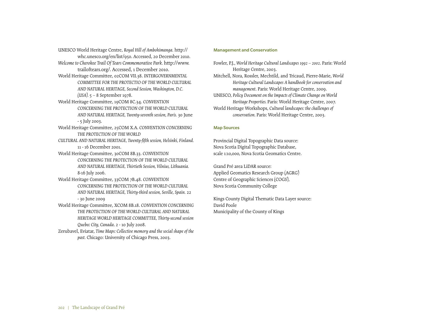UNESCO World Heritage Centre, *Royal Hill of Ambohimanga.* http:// whc.unesco.org/en/list/950. Accessed, 20 December 2010.

- *Welcome to Cherokee Trail Of Tears Commemorative Park.* http://www. trailoftears.org/. Accessed, 1 December 2010.
- World Heritage Committee, 02COM VII.38. *INTERGOVERNMENTAL COMMITTEE FOR THE PROTECTIO OF THE WORLD CULTURAL AND NATURAL HERITAGE, Second Session, Washington, D.C.*

```
(USA). 5 – 8 September 1978.
```
- World Heritage Committee, 19COM 8C.34. *CONVENTION CONCERNING THE PROTECTION OF THE WORLD CULTURAL AND NATURAL HERITAGE, Twenty-seventh session, Paris.* 30 June - 5 July 2003.
- World Heritage Committee, 25COM X.A. *CONVENTION CONCERNING THE PROTECTION OF THE WORLD*
- *CULTURAL AND NATURAL HERITAGE, Twenty-fifth session, Helsinki, Finland.*  11 - 16 December 2001.
- World Heritage Committee, 30COM 8B.33. *CONVENTION CONCERNING THE PROTECTION OF THE WORLD CULTURAL AND NATURAL HERITAGE, Thirtieth Session, Vilnius, Lithuania.*  8-16 July 2006.
- World Heritage Committee, 33COM 7B.48. *CONVENTION CONCERNING THE PROTECTION OF THE WORLD CULTURAL AND NATURAL HERITAGE, Thirty-third session, Seville, Spain.* 22 - 30 June 2009
- World Heritage Committee, XCOM 8B.18. *CONVENTION CONCERNING THE PROTECTION OF THE WORLD CULTURAL AND NATURAL HERITAGE WORLD HERITAGE COMMITTEE, Thirty-second session Quebec City, Canada*. 2 - 10 July 2008.
- Zerubavel, Eviatar, *Time Maps: Collective memory and the social shape of the past.* Chicago: University of Chicago Press, 2003.

# Management and Conservation

- Fowler, P.J., *World Heritage Cultural Landscapes 1992 2002*. Paris: World Heritage Centre, 2003.
- Mitchell, Nora, Rossler, Mechtild, and Tricaud, Pierre-Marie, *World Heritage Cultural Landscapes A handbook for conservation and management*. Paris: World Heritage Centre, 2009.
- UNESCO, *Policy Document on the Impacts of Climate Change on World Heritage Properties.* Paris: World Heritage Centre, 2007. World Heritage Workshops, *Cultural landscapes: the challenges of conservation.* Paris: World Heritage Centre, 2003.

# Map Sources

Provincial Digital Topographic Data source: Nova Scotia Digital Topographic Database, scale 1:10,000, Nova Scotia Geomatics Centre.

Grand Pré area LiDAR source: Applied Geomatics Research Group (AGRG) Centre of Geographic Sciences (COGS), Nova Scotia Community College

Kings County Digital Thematic Data Layer source: David Poole Municipality of the County of Kings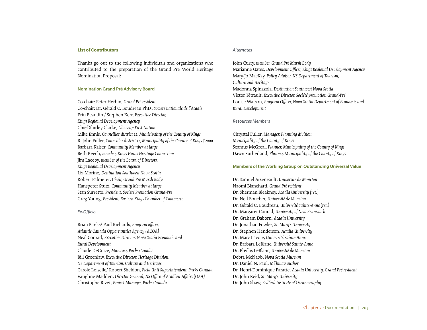#### **List of Contributors**

Thanks go out to the following individuals and organizations who contributed to the preparation of the Grand Pré World Heritage Nomination Proposal:

#### Nomination Grand Pré Advisory Board

Co-chair: Peter Herbin, *Grand Pré resident* Co-chair: Dr. Gérald C. Boudreau PhD., *Société nationale de l'Acadie* Erin Beaudin / Stephen Kerr, *Executive Director, Kings Regional Development Agency* Chief Shirley Clarke, *Glooscap First Nation* Mike Ennis, *Councillor district 12, Municipality of the County of Kings* R. John Fuller, *Councillor district 12, Municipality of the County of Kings †2009* Barbara Kaiser, *Community Member at large* Beth Keech, *member, Kings Hants Heritage Connection* Jim Laceby, *member of the Board of Directors, Kings Regional Development Agency* Liz Morine, *Destination Southwest Nova Scotia* Robert Palmeter, *Chair, Grand Pré Marsh Body* Hanspeter Stutz, *Community Member at large* Stan Surrette, *President, Société Promotion Grand-Pré* Greg Young, *President, Eastern Kings Chamber of Commerce*

#### *Ex-Officio*

Brian Banks/ Paul Richards, *Program officer, Atlantic Canada Opportunities Agency (ACOA)* Neal Conrad, *Executive Director, Nova Scotia Economic and Rural Development* Claude DeGrâce, *Manager, Parks Canada* Bill Greenlaw, *Executive Director, Heritage Division, NS Department of Tourism, Culture and Heritage* Carole Loiselle/ Robert Sheldon, *Field Unit Superintendent, Parks Canada* Vaughne Madden, *Director General, NS Office of Acadian Affairs (OAA)* Christophe Rivet, *Project Manager, Parks Canada*

#### *Alternates*

John Curry, *member, Grand Pré Marsh Body*  Marianne Gates, *Development Officer, Kings Regional Development Agency* Mary-Jo MacKay, *Policy Advisor, NS Department of Tourism, Culture and Heritage* Madonna Spinazola, *Destination Southwest Nova Scotia* Victor Tétrault, *Executive Director, Société promotion Grand-Pré* Louise Watson, *Program Officer, Nova Scotia Department of Economic and Rural Development*

#### *Resources Members*

Chrystal Fuller, *Manager, Planning division, Municipality of the County of Kings* Seamus McGreal, *Planner, Municipality of the County of Kings* Dawn Sutherland, *Planner, Municipality of the County of Kings*

#### Members of the Working Group on Outstanding Universal Value

Dr. Samuel Arseneault, *Université de Moncton* Naomi Blanchard, *Grand Pré resident* Dr. Sherman Bleakney, *Acadia University (ret.)* Dr. Neil Boucher, *Université de Moncton* Dr. Gérald C. Boudreau, *Université Sainte-Anne (ret.)* Dr. Margaret Conrad, *University of New Brunswick* Dr. Graham Daborn, *Acadia University* Dr. Jonathan Fowler, *St. Mary's University* Dr. Stephen Henderson, *Acadia University* Dr. Marc Lavoie, *Université Sainte-Anne* Dr. Barbara LeBlanc, *Université Sainte-Anne* Dr. Phyllis LeBlanc, *Universtié de Moncton* Debra McNabb, *Nova Scotia Museum* Dr. Daniel N. Paul, *Mi'kmaq author* Dr. Henri-Dominique Paratte, *Acadia University, Grand Pré resident* Dr. John Reid, *St. Mary's University* Dr. John Shaw, *Bedford Institute of Oceanography*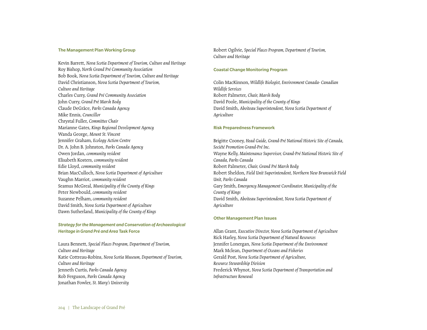#### The Management Plan Working Group

Kevin Barrett, *Nova Scotia Department of Tourism, Culture and Heritage* Roy Bishop, *North Grand Pré Community Association* Bob Book, *Nova Scotia Department of Tourism, Culture and Heritage* David Christianson, *Nova Scotia Department of Tourism, Culture and Heritage* Charles Curry, *Grand Pré Community Association* John Curry, *Grand Pré Marsh Body* Claude DeGrâce, *Parks Canada Agency* Mike Ennis, *Councillor* Chrystal Fuller, *Committee Chair* Marianne Gates, *Kings Regional Development Agency* Wanda George, *Mount St. Vincent* Jennifer Graham, *Ecology Action Centre* Dr. A. John B. Johnston, *Parks Canada Agency* Owen Jordan, *community resident* Elisabeth Kosters, *community resident* Edie Lloyd, *community resident* Brian MacCulloch, *Nova Scotia Department of Agriculture* Vaughn Marriot, *community resident* Seamus McGreal, *Municipality of the County of Kings* Peter Newbould, *community resident* Suzanne Pelham, *community resident* David Smith, *Nova Scotia Department of Agriculture* Dawn Sutherland, *Municipality of the County of Kings*

# *Strategy for the Management and Conservation of Archaeological Heritage in Grand Pré and Area* Task Force

Laura Bennett, *Special Places Program, Department of Tourism, Culture and Heritage* Katie Cottreau-Robins, *Nova Scotia Museum, Department of Tourism, Culture and Heritage* Jenneth Curtis, *Parks Canada Agency* Rob Ferguson, *Parks Canada Agency* Jonathan Fowler, *St. Mary's University*

Robert Ogilvie, *Special Places Program, Department of Tourism, Culture and Heritage*

#### Coastal Change Monitoring Program

Colin MacKinnon, *Wildlife Biologist, Environment Canada- Canadian Wildlife Services* Robert Palmeter, *Chair, Marsh Body* David Poole, *Municipality of the County of Kings* David Smith, *Aboiteau Superintendent, Nova Scotia Department of Agriculture*

#### Risk Preparedness Framework

Brigitte Cooney, *Head Guide, Grand-Pré National Historic Site of Canada, Société Promotion Grand-Pré Inc.* Wayne Kelly, *Maintenance Supervisor, Grand-Pré National Historic Site of Canada, Parks Canada* Robert Palmeter, *Chair, Grand Pré Marsh Body* Robert Sheldon, *Field Unit Superintendent, Northern New Brunswick Field Unit, Parks Canada* Gary Smith, *Emergency Management Coordinator, Municipality of the County of Kings* David Smith, *Aboiteau Superintendent, Nova Scotia Department of Agriculture*

#### Other Management Plan Issues

Allan Grant, *Executive Director, Nova Scotia Department of Agriculture* Rick Harley, *Nova Scotia Department of Natural Resources* Jennifer Lonergan, *Nova Scotia Department of the Environment* Mark Mclean, *Department of Oceans and Fisheries* Gerald Post, *Nova Scotia Department of Agriculture, Resource Stewardship Division* Frederick Whynot, *Nova Scotia Department of Transportation and Infrastructure Renewal*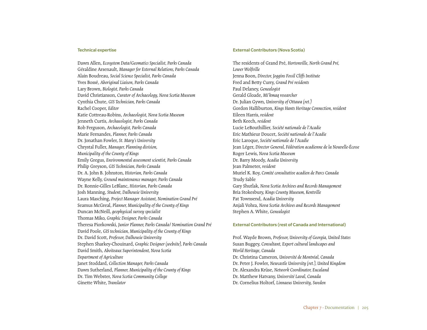#### Technical expertise

Dawn Allen, *Ecosystem Data/Geomatics Specialist, Parks Canada* Géraldine Arsenault, *Manager for External Relations, Parks Canada* Alain Boudreau, *Social Science Specialist, Parks Canada* Yves Bossé, *Aboriginal Liaison, Parks Canada* Lary Brown, *Biologist, Parks Canada* David Christianson, *Curator of Archaeology, Nova Scotia Museum* Cynthia Chute, *GIS Technician, Parks Canada* Rachel Cooper, *Editor* Katie Cottreau-Robins, *Archaeologist, Nova Scotia Museum* Jenneth Curtis, *Archaeologist, Parks Canada* Rob Ferguson, *Archaeologist, Parks Canada* Marie Fernandes, *Planner, Parks Canada* Dr. Jonathan Fowler, *St. Mary's University* Chrystal Fuller, *Manager, Planning division, Municipality of the County of Kings* Emily Gregus, *Environmental assessment scientist, Parks Canada* Philip Greyson, *GIS Technician, Parks Canada* Dr. A. John B. Johnston, *Historian, Parks Canada* Wayne Kelly, *Ground maintenance manager, Parks Canada* Dr. Ronnie-Gilles LeBlanc, *Historian, Parks Canada* Josh Manning, *Student, Dalhousie University* Laura Masching, *Project Manager Assistant, Nomination Grand Pré* Seamus McGreal, *Planner, Municipality of the County of Kings* Duncan McNeill, *geophysical survey specialist* Thomas Miko, *Graphic Designer, Parks Canada* Theresa Piorkowski, *Junior Planner, Parks Canada/ Nomination Grand Pré* David Poole, *GIS technician, Municipality of the County of Kings* Dr. David Scott, *Professor, Dalhousie University* Stephen Sharkey-Chouinard, *Graphic Designer (website), Parks Canada* David Smith, *Aboiteaux Superintendent, Nova Scotia Department of Agriculture* Janet Stoddard, *Collection Manager, Parks Canada* Dawn Sutherland, *Planner, Municipality of the County of Kings* Dr. Tim Webster, *Nova Scotia Community College* Ginette White, *Translator*

#### External Contributors (Nova Scotia)

The residents of Grand Pré, *Hortonville, North Grand Pré, Lower Wolfville* Jenna Boon, *Director, Joggins Fossil Cliffs Institute* Fred and Betty Curry, *Grand Pré residents* Paul Delaney, *Genealogist* Gerald Gloade, *Mi'kmaq researcher* Dr. Julian Gywn, *University of Ottawa (ret.)* Gordon Halliburton, *Kings Hants Heritage Connection, resident* Eileen Harris, *resident* Beth Keech, *resident* Lucie LeBouthillier, *Société nationale de l'Acadie* Eric Mathieur Doucet, *Société nationale de l'Acadie* Eric Laroque, *Société nationale de l'Acadie* Jean Léger, *Director General, Fédération acadienne de la Nouvelle-Écosse* Roger Lewis, *Nova Scotia Museum* Dr. Barry Moody, *Acadia University* Jean Palmeter, *resident* Muriel K. Roy, *Comité consultative acadien de Parcs Canada* Trudy Sable Gary Shutlak, *Nova Scotia Archives and Records Management* Bria Stokesbury, *Kings County Museum, Kentville* Pat Townsend, *Acadia University* Anjali Vohra, *Nova Scotia Archives and Records Management* Stephen A. White, *Genealogist*

#### External Contributors (rest of Canada and International)

Prof. Wayde Brown, *Professor, University of Georgia, United States* Susan Buggey, *Consultant, Expert cultural landscapes and World Heritage, Canada* Dr. Christina Cameron, *Université de Montréal, Canada* Dr. Peter J. Fowler, *Newcastle University (ret.), United Kingdom* Dr. Alexandra Krüse, *Network Coordinator, Eucaland* Dr. Matthew Hatvany, *Université Laval, Canada* Dr. Cornelius Holtorf, *Linnaeus University, Sweden*